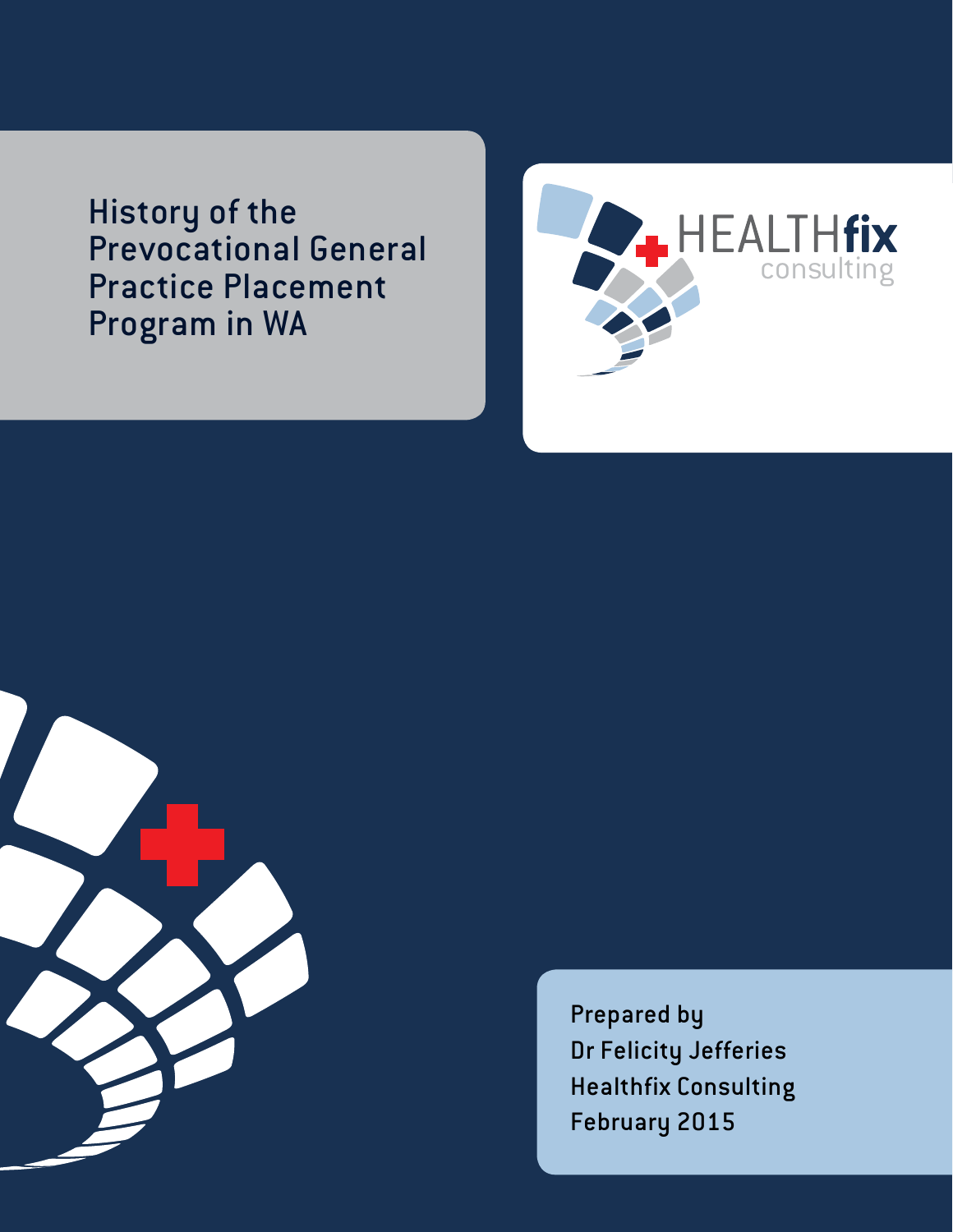History of the Prevocational General Practice Placement Program in WA





Prepared by Dr Felicity Jefferies Healthfix Consulting February 2015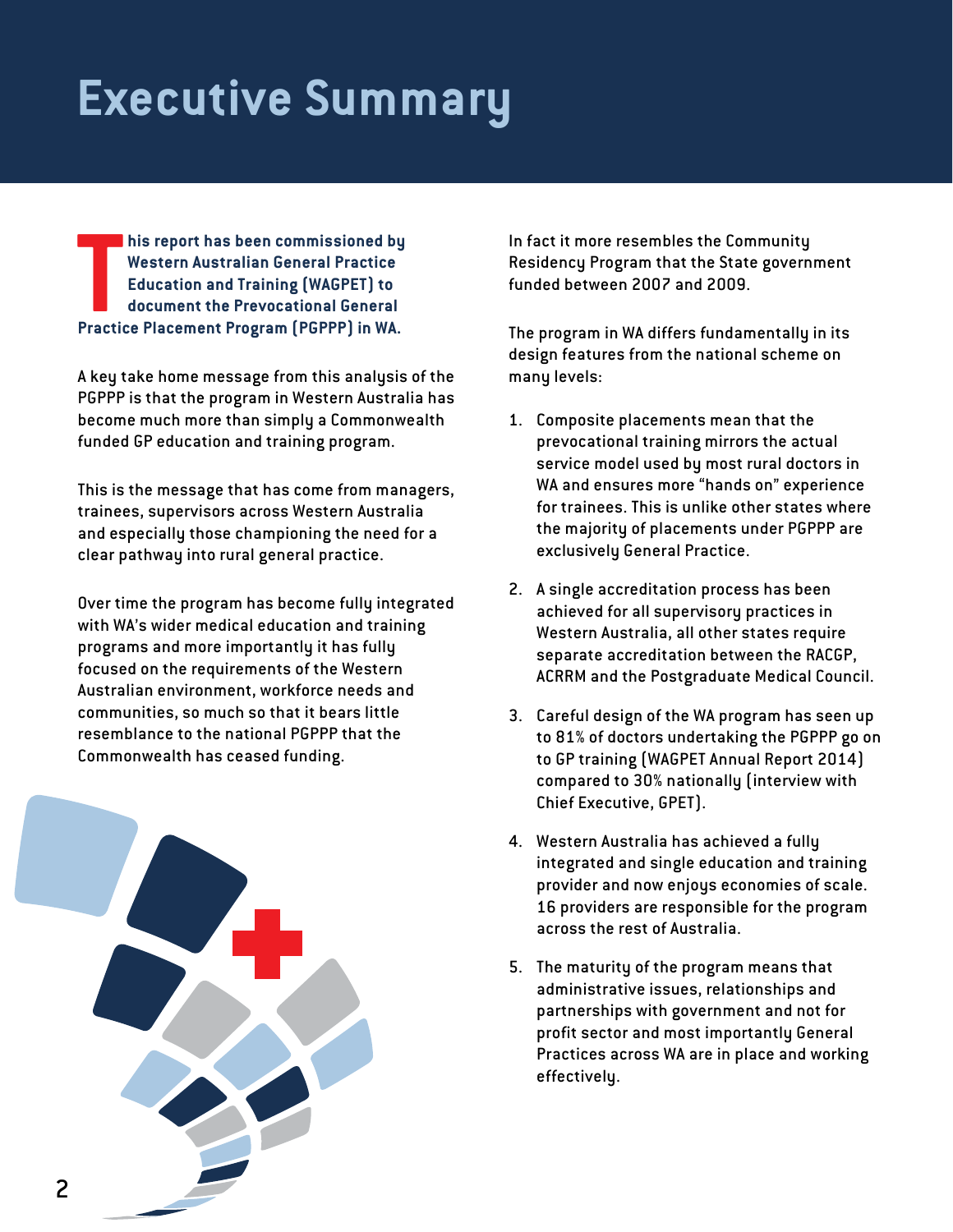## **Executive Summary**

**THE PROPERTIES CHARGE PROPERTIES IN THE PROPERTI PROPERTI PROPERTI PROPERTI PROPERTI PROPERTI PROPERTI PROPERTI PROPERTI PROPERTY PROPERTY PROPERTY IN WA. his report has been commissioned by Western Australian General Practice Education and Training (WAGPET) to document the Prevocational General** 

A key take home message from this analysis of the PGPPP is that the program in Western Australia has become much more than simply a Commonwealth funded GP education and training program.

This is the message that has come from managers, trainees, supervisors across Western Australia and especially those championing the need for a clear pathway into rural general practice.

Over time the program has become fully integrated with WA's wider medical education and training programs and more importantly it has fully focused on the requirements of the Western Australian environment, workforce needs and communities, so much so that it bears little resemblance to the national PGPPP that the Commonwealth has ceased funding.



In fact it more resembles the Community Residency Program that the State government funded between 2007 and 2009.

The program in WA differs fundamentally in its design features from the national scheme on many levels:

- 1. Composite placements mean that the prevocational training mirrors the actual service model used by most rural doctors in WA and ensures more "hands on" experience for trainees. This is unlike other states where the majority of placements under PGPPP are exclusively General Practice.
- 2. A single accreditation process has been achieved for all supervisory practices in Western Australia, all other states require separate accreditation between the RACGP, ACRRM and the Postgraduate Medical Council.
- 3. Careful design of the WA program has seen up to 81% of doctors undertaking the PGPPP go on to GP training (WAGPET Annual Report 2014) compared to 30% nationally (interview with Chief Executive, GPET).
- 4. Western Australia has achieved a fully integrated and single education and training provider and now enjoys economies of scale. 16 providers are responsible for the program across the rest of Australia.
- 5. The maturity of the program means that administrative issues, relationships and partnerships with government and not for profit sector and most importantly General Practices across WA are in place and working effectively.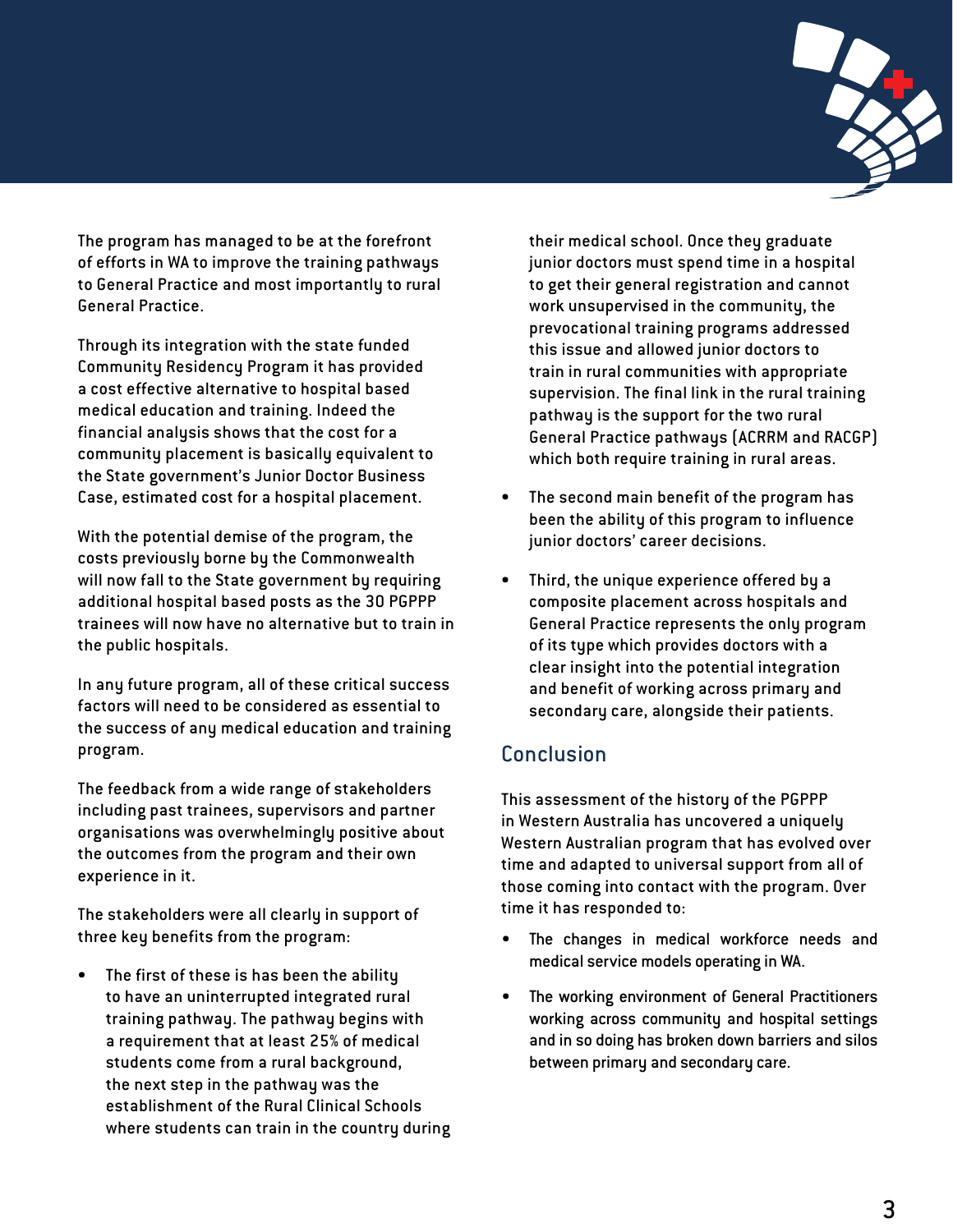

The program has managed to be at the forefront of efforts in WA to improve the training pathways to General Practice and most importantly to rural General Practice.

Through its integration with the state funded Community Residency Program it has provided a cost effective alternative to hospital based medical education and training. Indeed the financial analysis shows that the cost for a community placement is basically equivalent to the State government's Junior Doctor Business Case, estimated cost for a hospital placement.

With the potential demise of the program, the costs previously borne by the Commonwealth will now fall to the State government by requiring additional hospital based posts as the 30 PGPPP trainees will now have no alternative but to train in the public hospitals.

In any future program, all of these critical success factors will need to be considered as essential to the success of any medical education and training program.

The feedback from a wide range of stakeholders including past trainees, supervisors and partner organisations was overwhelmingly positive about the outcomes from the program and their own experience in it.

The stakeholders were all clearly in support of three key benefits from the program:

The first of these is has been the ability to have an uninterrupted integrated rural training pathway. The pathway begins with a requirement that at least 25% of medical students come from a rural background, the next step in the pathway was the establishment of the Rural Clinical Schools where students can train in the country during their medical school. Once they graduate junior doctors must spend time in a hospital to get their general registration and cannot work unsupervised in the community, the prevocational training programs addressed this issue and allowed junior doctors to train in rural communities with appropriate supervision. The final link in the rural training pathway is the support for the two rural General Practice pathways (ACRRM and RACGP) which both require training in rural areas.

- The second main benefit of the program has been the ability of this program to influence junior doctors' career decisions.
- Third, the unique experience offered by a composite placement across hospitals and General Practice represents the only program of its type which provides doctors with a clear insight into the potential integration and benefit of working across primary and secondary care, alongside their patients.

## **Conclusion**

This assessment of the history of the PGPPP in Western Australia has uncovered a uniquely Western Australian program that has evolved over time and adapted to universal support from all of those coming into contact with the program. Over time it has responded to:

- The changes in medical workforce needs and medical service models operating in WA.
- The working environment of General Practitioners working across community and hospital settings and in so doing has broken down barriers and silos between primary and secondary care.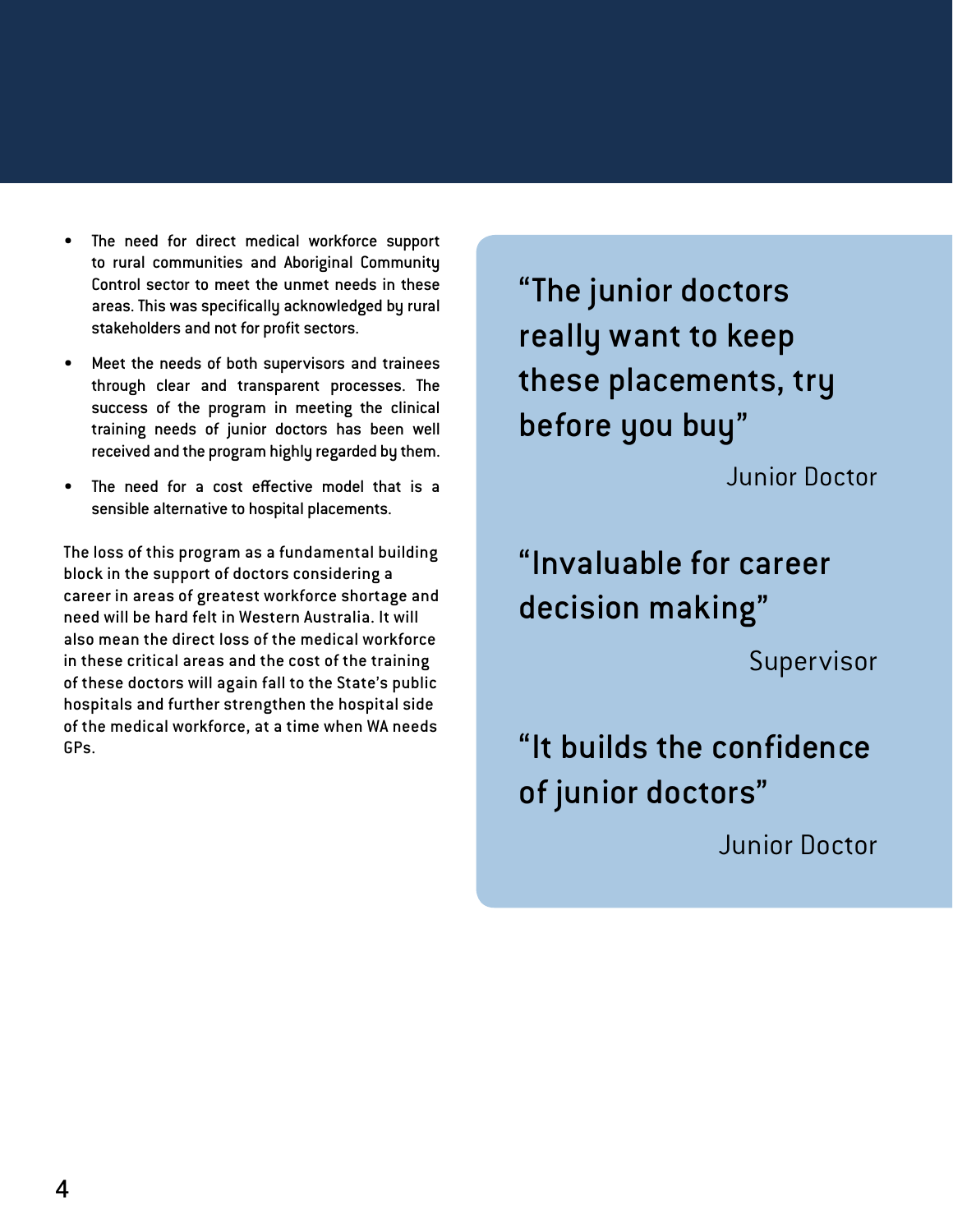- The need for direct medical workforce support to rural communities and Aboriginal Community Control sector to meet the unmet needs in these areas. This was specifically acknowledged by rural stakeholders and not for profit sectors.
- Meet the needs of both supervisors and trainees through clear and transparent processes. The success of the program in meeting the clinical training needs of junior doctors has been well received and the program highly regarded by them.
- The need for a cost effective model that is a sensible alternative to hospital placements.

The loss of this program as a fundamental building block in the support of doctors considering a career in areas of greatest workforce shortage and need will be hard felt in Western Australia. It will also mean the direct loss of the medical workforce in these critical areas and the cost of the training of these doctors will again fall to the State's public hospitals and further strengthen the hospital side of the medical workforce, at a time when WA needs GPs.

"The junior doctors really want to keep these placements, try before you buy" Junior Doctor

"Invaluable for career decision making"

Supervisor

"It builds the confidence of junior doctors"

Junior Doctor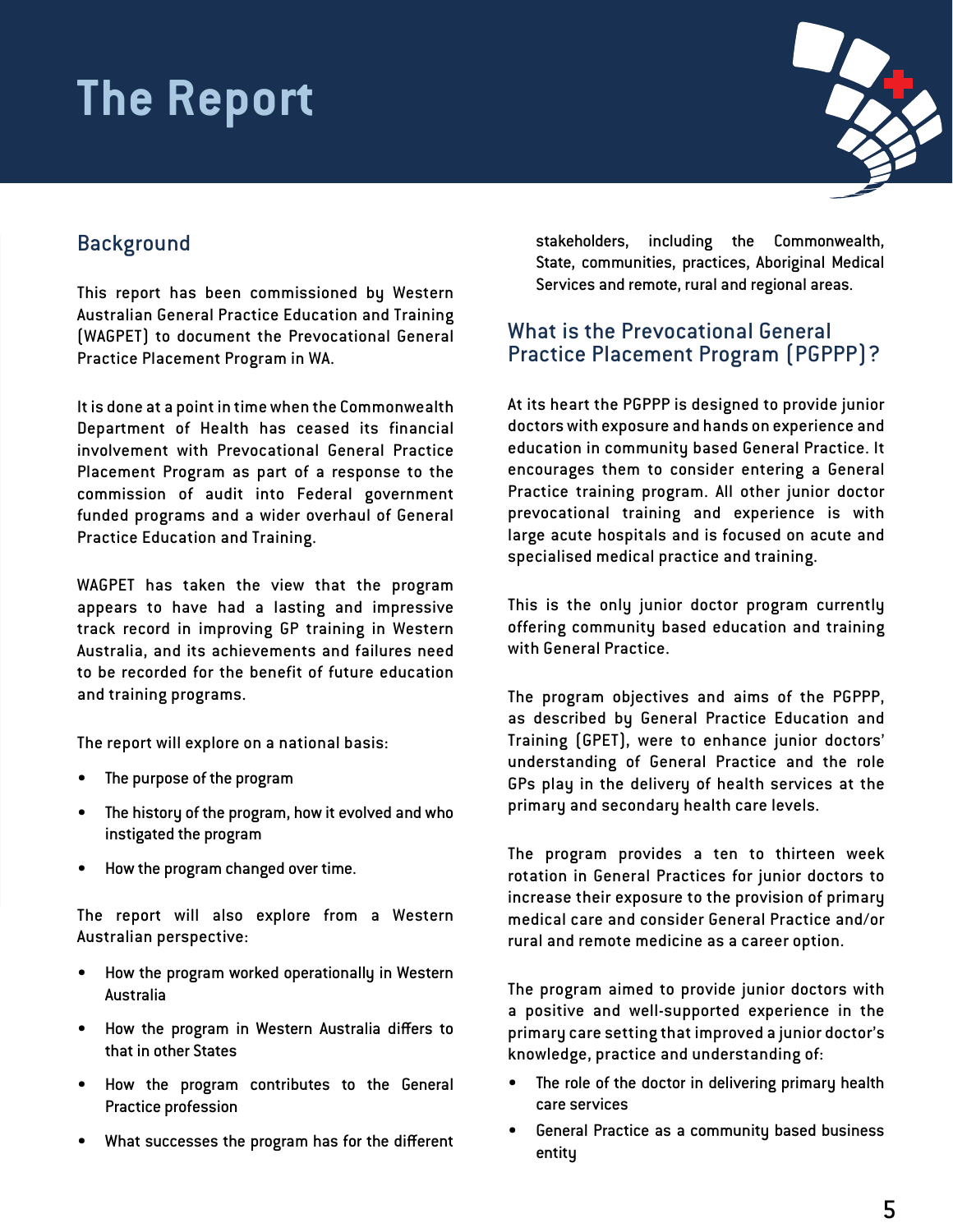# **The Report**

## Background

This report has been commissioned by Western Australian General Practice Education and Training (WAGPET) to document the Prevocational General Practice Placement Program in WA.

It is done at a point in time when the Commonwealth Department of Health has ceased its financial involvement with Prevocational General Practice Placement Program as part of a response to the commission of audit into Federal government funded programs and a wider overhaul of General Practice Education and Training.

WAGPET has taken the view that the program appears to have had a lasting and impressive track record in improving GP training in Western Australia, and its achievements and failures need to be recorded for the benefit of future education and training programs.

The report will explore on a national basis:

- The purpose of the program
- The history of the program, how it evolved and who instigated the program
- How the program changed over time.

The report will also explore from a Western Australian perspective:

- How the program worked operationally in Western Australia
- How the program in Western Australia differs to that in other States
- How the program contributes to the General Practice profession
- What successes the program has for the different

stakeholders, including the Commonwealth, State, communities, practices, Aboriginal Medical Services and remote, rural and regional areas.

#### What is the Prevocational General Practice Placement Program (PGPPP)?

At its heart the PGPPP is designed to provide junior doctors with exposure and hands on experience and education in community based General Practice. It encourages them to consider entering a General Practice training program. All other junior doctor prevocational training and experience is with large acute hospitals and is focused on acute and specialised medical practice and training.

This is the only junior doctor program currently offering community based education and training with General Practice.

The program objectives and aims of the PGPPP, as described by General Practice Education and Training (GPET), were to enhance junior doctors' understanding of General Practice and the role GPs play in the delivery of health services at the primary and secondary health care levels.

The program provides a ten to thirteen week rotation in General Practices for junior doctors to increase their exposure to the provision of primary medical care and consider General Practice and/or rural and remote medicine as a career option.

The program aimed to provide junior doctors with a positive and well-supported experience in the primary care setting that improved a junior doctor's knowledge, practice and understanding of:

- The role of the doctor in delivering primary health care services
- General Practice as a community based business entity



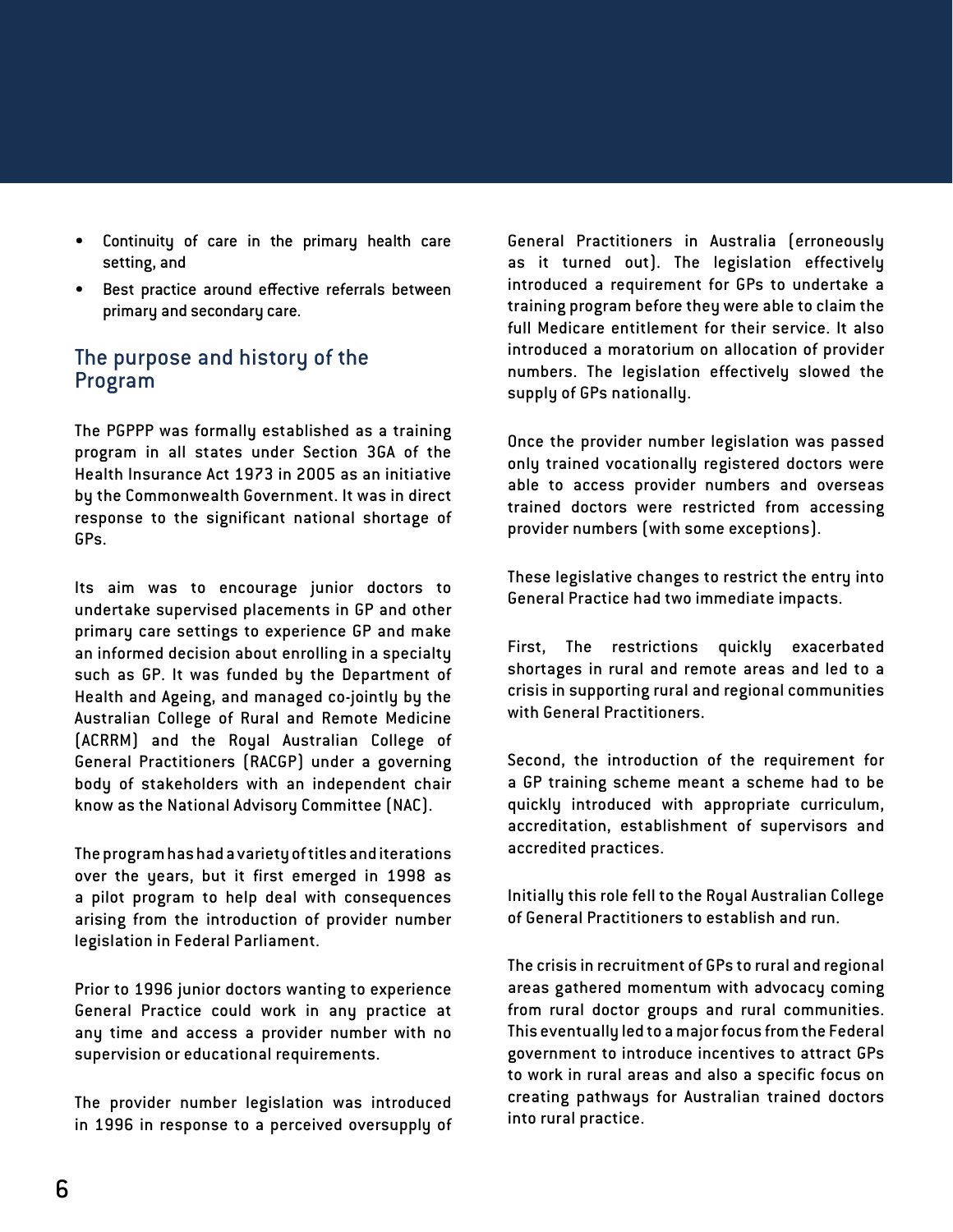- Continuity of care in the primary health care setting, and
- Best practice around effective referrals between primary and secondary care.

#### The purpose and history of the Program

The PGPPP was formally established as a training program in all states under Section 3GA of the Health Insurance Act 1973 in 2005 as an initiative by the Commonwealth Government. It was in direct response to the significant national shortage of GPs.

Its aim was to encourage junior doctors to undertake supervised placements in GP and other primary care settings to experience GP and make an informed decision about enrolling in a specialty such as GP. It was funded by the Department of Health and Ageing, and managed co-jointly by the Australian College of Rural and Remote Medicine (ACRRM) and the Royal Australian College of General Practitioners (RACGP) under a governing body of stakeholders with an independent chair know as the National Advisory Committee (NAC).

The program has had a variety of titles and iterations over the years, but it first emerged in 1998 as a pilot program to help deal with consequences arising from the introduction of provider number legislation in Federal Parliament.

Prior to 1996 junior doctors wanting to experience General Practice could work in any practice at any time and access a provider number with no supervision or educational requirements.

The provider number legislation was introduced in 1996 in response to a perceived oversupply of

General Practitioners in Australia (erroneously as it turned out). The legislation effectively introduced a requirement for GPs to undertake a training program before they were able to claim the full Medicare entitlement for their service. It also introduced a moratorium on allocation of provider numbers. The legislation effectively slowed the supply of GPs nationally.

Once the provider number legislation was passed only trained vocationally registered doctors were able to access provider numbers and overseas trained doctors were restricted from accessing provider numbers (with some exceptions).

These legislative changes to restrict the entry into General Practice had two immediate impacts.

First, The restrictions quickly exacerbated shortages in rural and remote areas and led to a crisis in supporting rural and regional communities with General Practitioners.

Second, the introduction of the requirement for a GP training scheme meant a scheme had to be quickly introduced with appropriate curriculum, accreditation, establishment of supervisors and accredited practices.

Initially this role fell to the Royal Australian College of General Practitioners to establish and run.

The crisis in recruitment of GPs to rural and regional areas gathered momentum with advocacy coming from rural doctor groups and rural communities. This eventually led to a major focus from the Federal government to introduce incentives to attract GPs to work in rural areas and also a specific focus on creating pathways for Australian trained doctors into rural practice.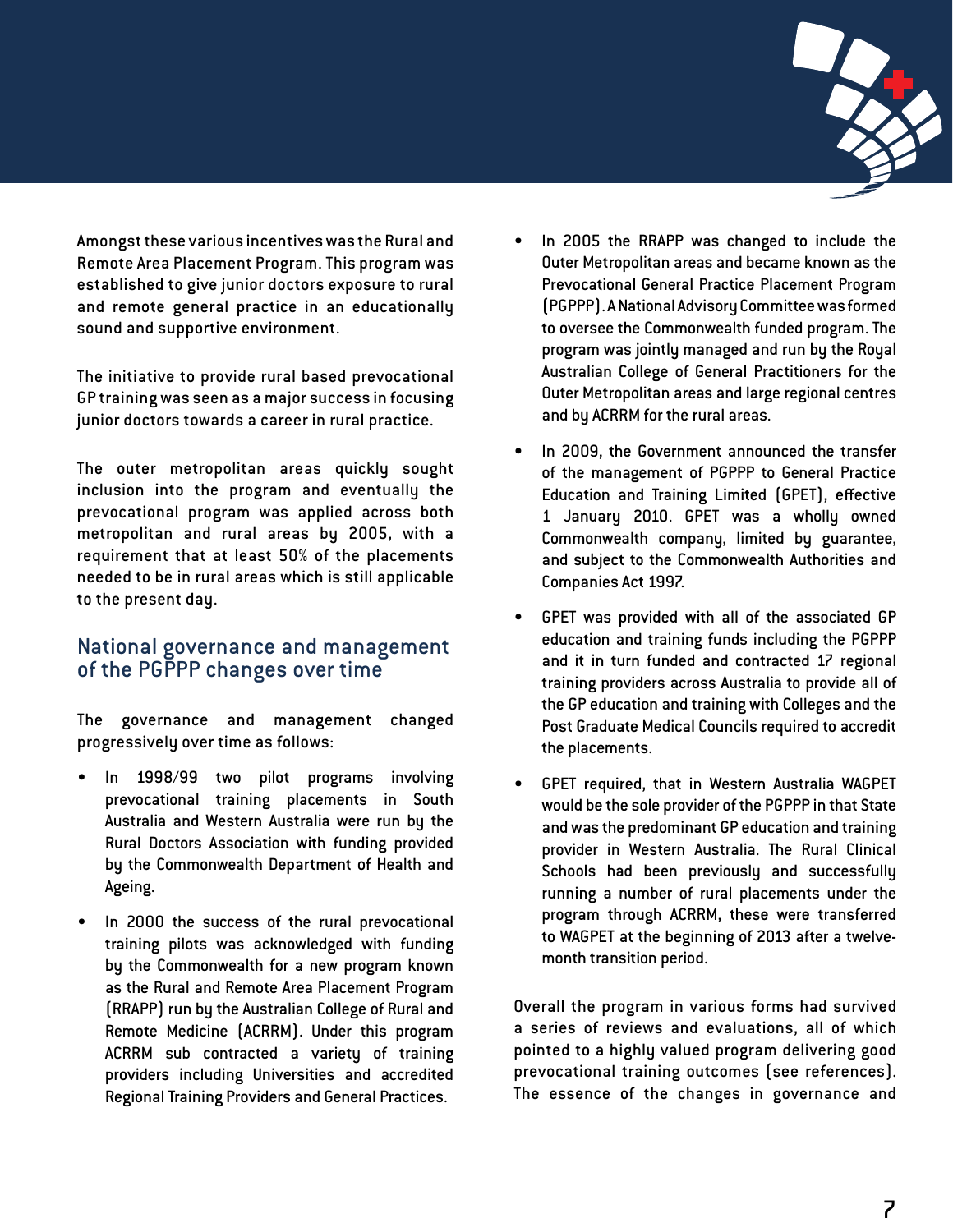

Amongst these various incentives was the Rural and Remote Area Placement Program. This program was established to give junior doctors exposure to rural and remote general practice in an educationally sound and supportive environment.

The initiative to provide rural based prevocational GP training was seen as a major success in focusing junior doctors towards a career in rural practice.

The outer metropolitan areas quickly sought inclusion into the program and eventually the prevocational program was applied across both metropolitan and rural areas by 2005, with a requirement that at least 50% of the placements needed to be in rural areas which is still applicable to the present day.

#### National governance and management of the PGPPP changes over time

The governance and management changed progressively over time as follows:

- In 1998/99 two pilot programs involving prevocational training placements in South Australia and Western Australia were run by the Rural Doctors Association with funding provided by the Commonwealth Department of Health and Ageing.
- In 2000 the success of the rural prevocational training pilots was acknowledged with funding by the Commonwealth for a new program known as the Rural and Remote Area Placement Program (RRAPP) run by the Australian College of Rural and Remote Medicine (ACRRM). Under this program ACRRM sub contracted a variety of training providers including Universities and accredited Regional Training Providers and General Practices.
- In 2005 the RRAPP was changed to include the Outer Metropolitan areas and became known as the Prevocational General Practice Placement Program (PGPPP). A National Advisory Committee was formed to oversee the Commonwealth funded program. The program was jointly managed and run by the Royal Australian College of General Practitioners for the Outer Metropolitan areas and large regional centres and by ACRRM for the rural areas.
- In 2009, the Government announced the transfer of the management of PGPPP to General Practice Education and Training Limited (GPET), effective 1 January 2010. GPET was a wholly owned Commonwealth company, limited by guarantee, and subject to the Commonwealth Authorities and Companies Act 1997.
- GPET was provided with all of the associated GP education and training funds including the PGPPP and it in turn funded and contracted 17 regional training providers across Australia to provide all of the GP education and training with Colleges and the Post Graduate Medical Councils required to accredit the placements.
- GPET required, that in Western Australia WAGPET would be the sole provider of the PGPPP in that State and was the predominant GP education and training provider in Western Australia. The Rural Clinical Schools had been previously and successfully running a number of rural placements under the program through ACRRM, these were transferred to WAGPET at the beginning of 2013 after a twelvemonth transition period.

Overall the program in various forms had survived a series of reviews and evaluations, all of which pointed to a highly valued program delivering good prevocational training outcomes (see references). The essence of the changes in governance and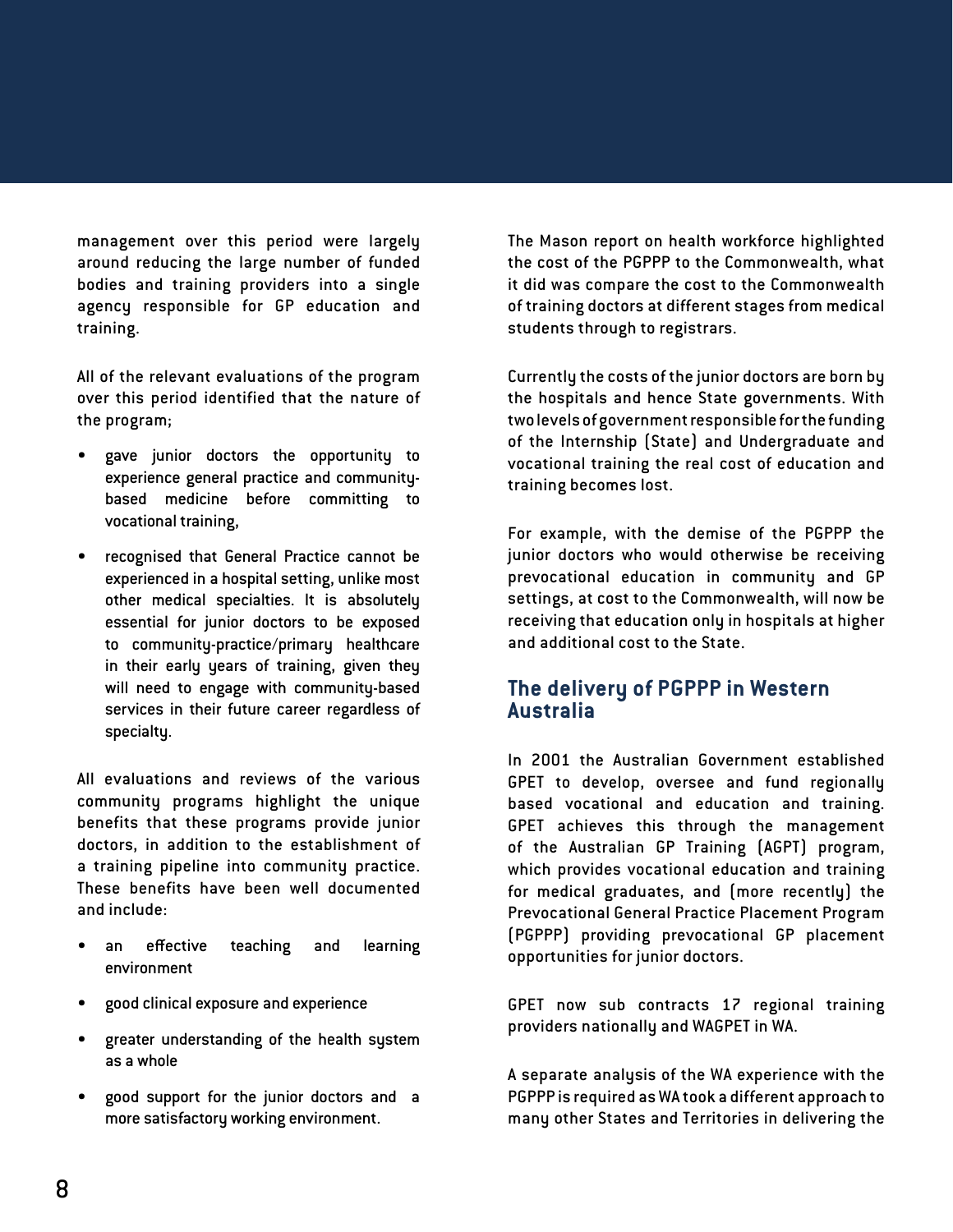management over this period were largely around reducing the large number of funded bodies and training providers into a single agency responsible for GP education and training.

All of the relevant evaluations of the program over this period identified that the nature of the program;

- gave junior doctors the opportunity to experience general practice and communitybased medicine before committing to vocational training,
- recognised that General Practice cannot be experienced in a hospital setting, unlike most other medical specialties. It is absolutely essential for junior doctors to be exposed to community-practice/primary healthcare in their early years of training, given they will need to engage with community-based services in their future career regardless of specialty.

All evaluations and reviews of the various community programs highlight the unique benefits that these programs provide junior doctors, in addition to the establishment of a training pipeline into community practice. These benefits have been well documented and include:

- an effective teaching and learning environment
- good clinical exposure and experience
- greater understanding of the health system as a whole
- good support for the junior doctors and a more satisfactory working environment.

The Mason report on health workforce highlighted the cost of the PGPPP to the Commonwealth, what it did was compare the cost to the Commonwealth of training doctors at different stages from medical students through to registrars.

Currently the costs of the junior doctors are born by the hospitals and hence State governments. With two levels of government responsible for the funding of the Internship (State) and Undergraduate and vocational training the real cost of education and training becomes lost.

For example, with the demise of the PGPPP the junior doctors who would otherwise be receiving prevocational education in community and GP settings, at cost to the Commonwealth, will now be receiving that education only in hospitals at higher and additional cost to the State.

#### **The delivery of PGPPP in Western Australia**

In 2001 the Australian Government established GPET to develop, oversee and fund regionally based vocational and education and training. GPET achieves this through the management of the Australian GP Training (AGPT) program, which provides vocational education and training for medical graduates, and (more recently) the Prevocational General Practice Placement Program (PGPPP) providing prevocational GP placement opportunities for junior doctors.

GPET now sub contracts 17 regional training providers nationally and WAGPET in WA.

A separate analysis of the WA experience with the PGPPP is required as WA took a different approach to many other States and Territories in delivering the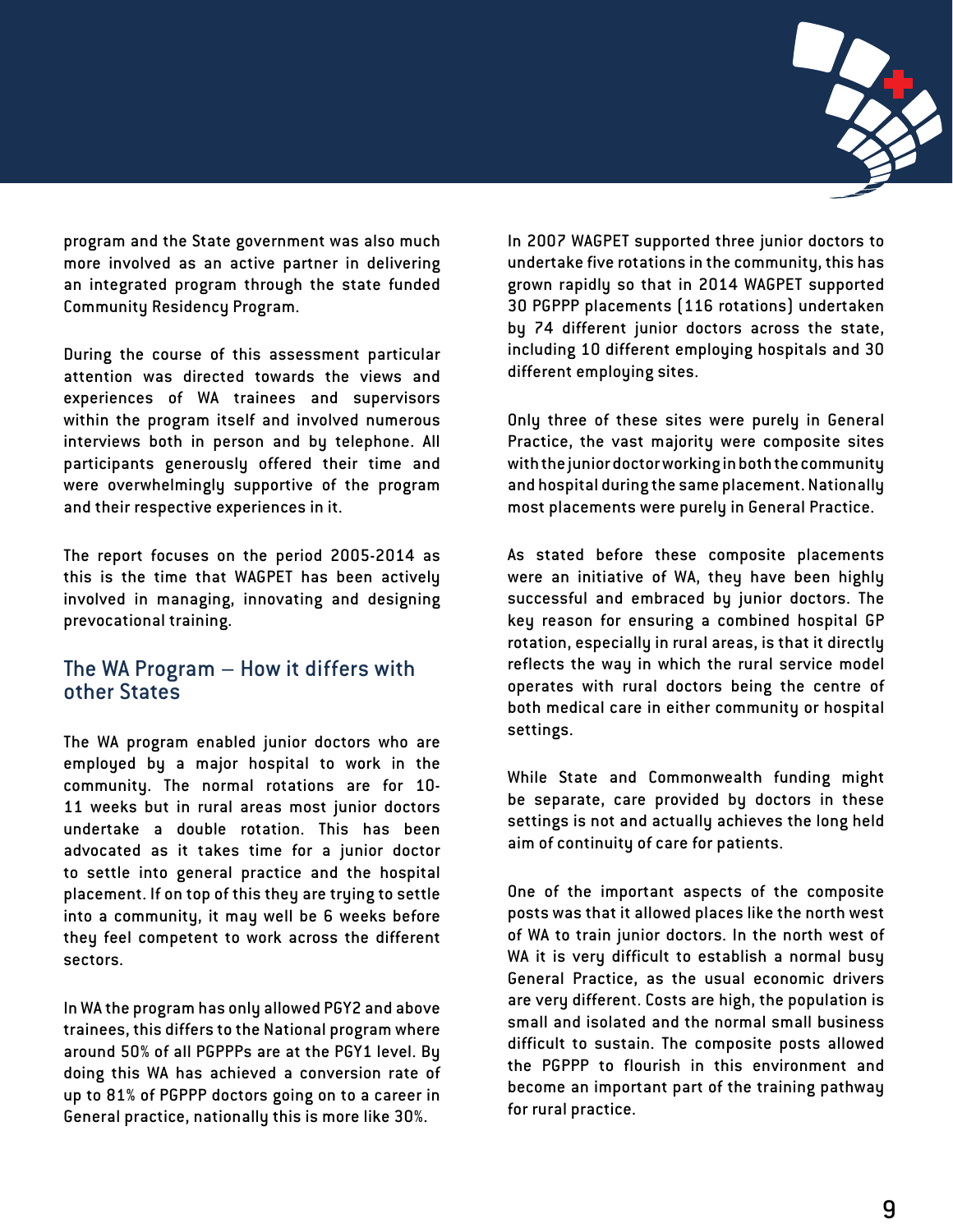

program and the State government was also much more involved as an active partner in delivering an integrated program through the state funded Community Residency Program.

During the course of this assessment particular attention was directed towards the views and experiences of WA trainees and supervisors within the program itself and involved numerous interviews both in person and by telephone. All participants generously offered their time and were overwhelmingly supportive of the program and their respective experiences in it.

The report focuses on the period 2005-2014 as this is the time that WAGPET has been actively involved in managing, innovating and designing prevocational training.

#### The WA Program – How it differs with other States

The WA program enabled junior doctors who are employed by a major hospital to work in the community. The normal rotations are for 10- 11 weeks but in rural areas most junior doctors undertake a double rotation. This has been advocated as it takes time for a junior doctor to settle into general practice and the hospital placement. If on top of this they are trying to settle into a community, it may well be 6 weeks before they feel competent to work across the different sectors.

In WA the program has only allowed PGY2 and above trainees, this differs to the National program where around 50% of all PGPPPs are at the PGY1 level. By doing this WA has achieved a conversion rate of up to 81% of PGPPP doctors going on to a career in General practice, nationally this is more like 30%.

In 2007 WAGPET supported three junior doctors to undertake five rotations in the community, this has grown rapidly so that in 2014 WAGPET supported 30 PGPPP placements (116 rotations) undertaken by 74 different junior doctors across the state, including 10 different employing hospitals and 30 different employing sites.

Only three of these sites were purely in General Practice, the vast majority were composite sites with the junior doctor working in both the community and hospital during the same placement. Nationally most placements were purely in General Practice.

As stated before these composite placements were an initiative of WA, they have been highly successful and embraced by junior doctors. The key reason for ensuring a combined hospital GP rotation, especially in rural areas, is that it directly reflects the way in which the rural service model operates with rural doctors being the centre of both medical care in either community or hospital settings.

While State and Commonwealth funding might be separate, care provided by doctors in these settings is not and actually achieves the long held aim of continuity of care for patients.

One of the important aspects of the composite posts was that it allowed places like the north west of WA to train junior doctors. In the north west of WA it is very difficult to establish a normal busy General Practice, as the usual economic drivers are very different. Costs are high, the population is small and isolated and the normal small business difficult to sustain. The composite posts allowed the PGPPP to flourish in this environment and become an important part of the training pathway for rural practice.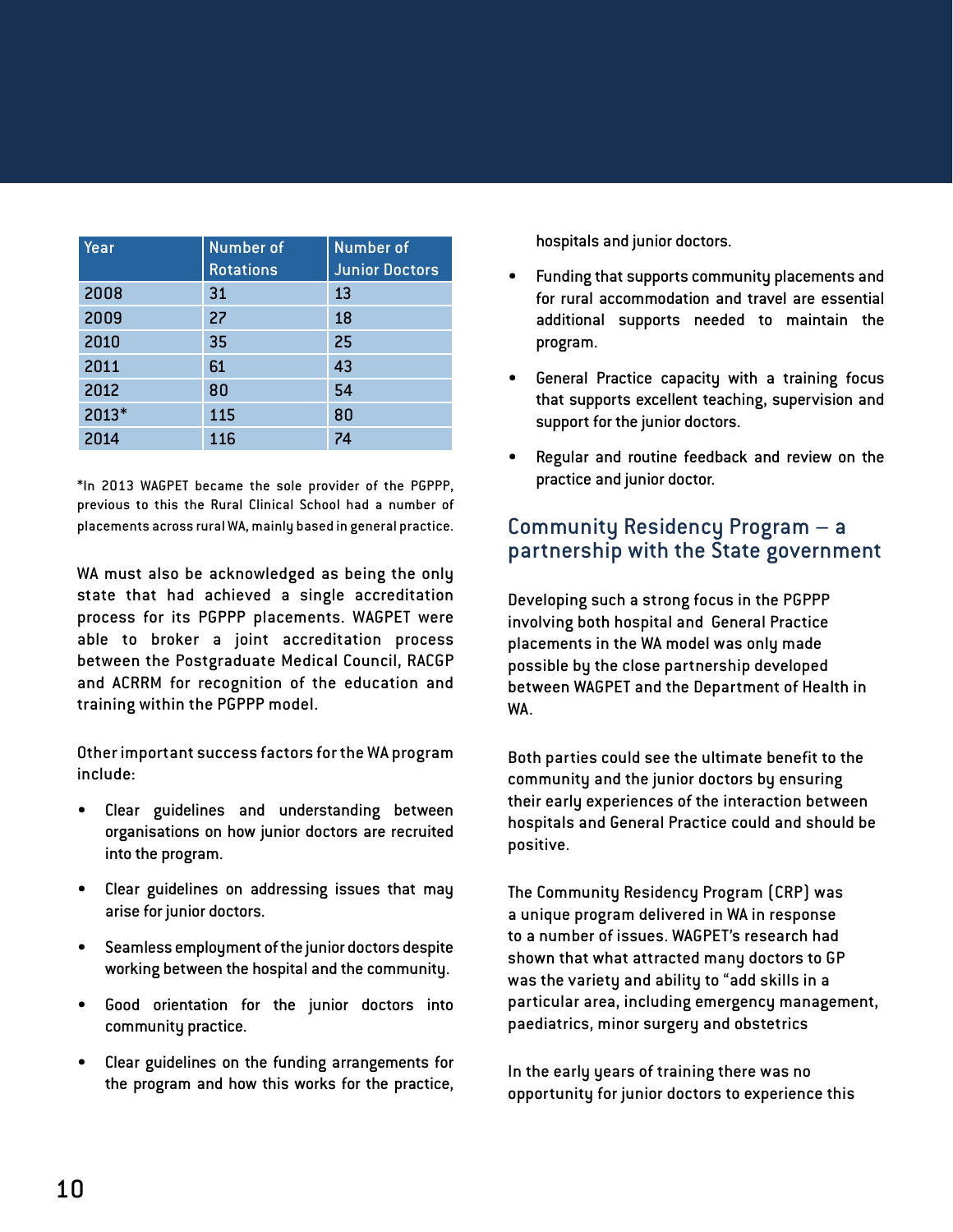| Year  | <b>Number</b> of<br><b>Rotations</b> | Number of<br><b>Junior Doctors</b> |
|-------|--------------------------------------|------------------------------------|
| 2008  | 31                                   | 13                                 |
| 2009  | 27                                   | 18                                 |
| 2010  | 35                                   | 25                                 |
| 2011  | 61                                   | 43                                 |
| 2012  | 80                                   | 54                                 |
| 2013* | 115                                  | 80                                 |
| 2014  | 116                                  | 74                                 |

\*In 2013 WAGPET became the sole provider of the PGPPP, previous to this the Rural Clinical School had a number of placements across rural WA, mainly based in general practice.

WA must also be acknowledged as being the only state that had achieved a single accreditation process for its PGPPP placements. WAGPET were able to broker a joint accreditation process between the Postgraduate Medical Council, RACGP and ACRRM for recognition of the education and training within the PGPPP model.

Other important success factors for the WA program include:

- Clear guidelines and understanding between organisations on how junior doctors are recruited into the program.
- Clear guidelines on addressing issues that may arise for junior doctors.
- Seamless employment of the junior doctors despite working between the hospital and the community.
- Good orientation for the junior doctors into community practice.
- Clear guidelines on the funding arrangements for the program and how this works for the practice,

hospitals and junior doctors.

- Funding that supports community placements and for rural accommodation and travel are essential additional supports needed to maintain the program.
- General Practice capacity with a training focus that supports excellent teaching, supervision and support for the junior doctors.
- Regular and routine feedback and review on the practice and junior doctor.

### Community Residency Program – a partnership with the State government

Developing such a strong focus in the PGPPP involving both hospital and General Practice placements in the WA model was only made possible by the close partnership developed between WAGPET and the Department of Health in WA.

Both parties could see the ultimate benefit to the community and the junior doctors by ensuring their early experiences of the interaction between hospitals and General Practice could and should be positive.

The Community Residency Program (CRP) was a unique program delivered in WA in response to a number of issues. WAGPET's research had shown that what attracted many doctors to GP was the variety and ability to "add skills in a particular area, including emergency management, paediatrics, minor surgery and obstetrics

In the early years of training there was no opportunity for junior doctors to experience this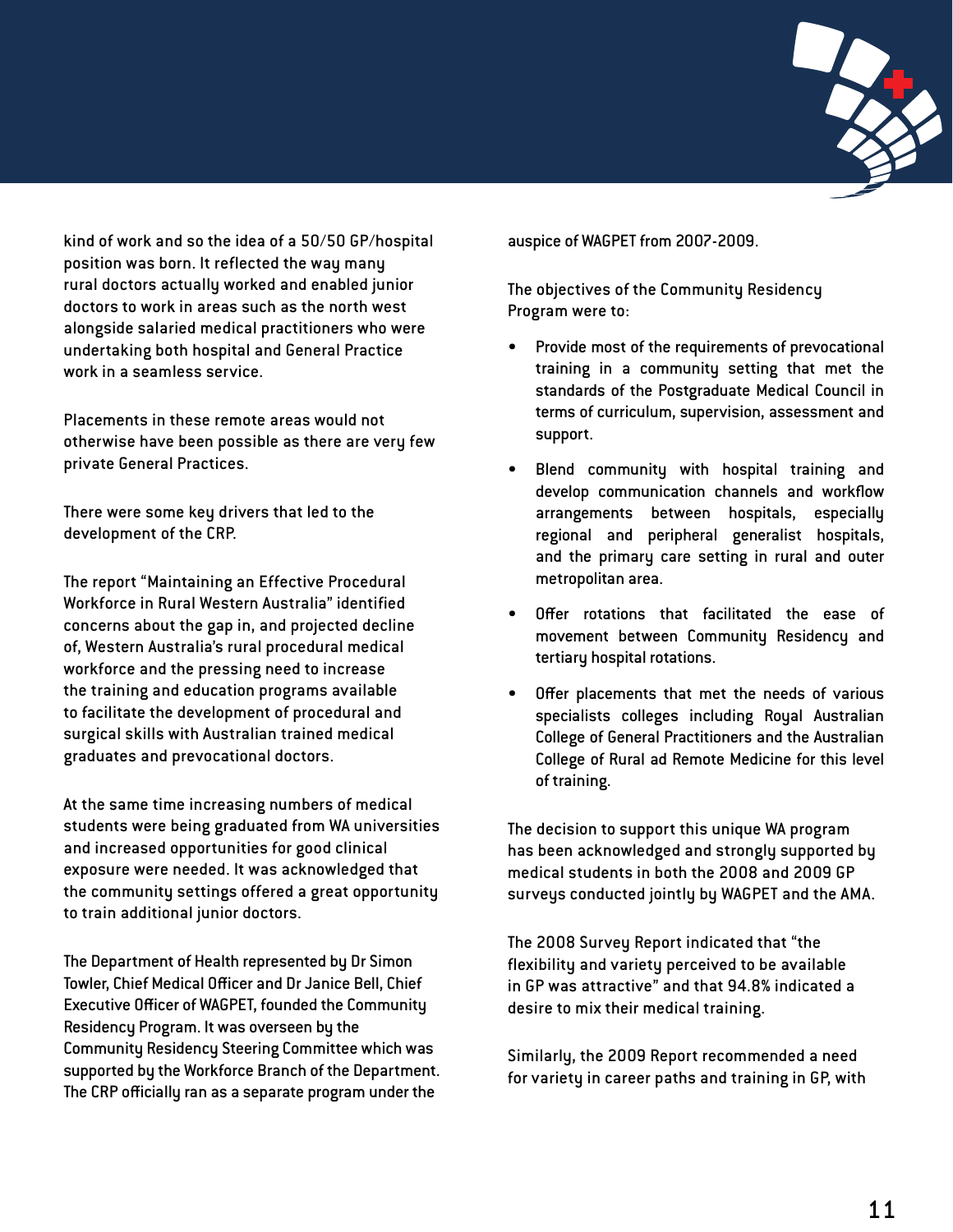

kind of work and so the idea of a 50/50 GP/hospital position was born. It reflected the way many rural doctors actually worked and enabled junior doctors to work in areas such as the north west alongside salaried medical practitioners who were undertaking both hospital and General Practice work in a seamless service.

Placements in these remote areas would not otherwise have been possible as there are very few private General Practices.

There were some key drivers that led to the development of the CRP.

The report "Maintaining an Effective Procedural Workforce in Rural Western Australia" identified concerns about the gap in, and projected decline of, Western Australia's rural procedural medical workforce and the pressing need to increase the training and education programs available to facilitate the development of procedural and surgical skills with Australian trained medical graduates and prevocational doctors.

At the same time increasing numbers of medical students were being graduated from WA universities and increased opportunities for good clinical exposure were needed. It was acknowledged that the community settings offered a great opportunity to train additional junior doctors.

The Department of Health represented by Dr Simon Towler, Chief Medical Officer and Dr Janice Bell, Chief Executive Officer of WAGPET, founded the Community Residency Program. It was overseen by the Community Residency Steering Committee which was supported by the Workforce Branch of the Department. The CRP officially ran as a separate program under the

auspice of WAGPET from 2007-2009.

The objectives of the Community Residency Program were to:

- Provide most of the requirements of prevocational training in a community setting that met the standards of the Postgraduate Medical Council in terms of curriculum, supervision, assessment and support.
- Blend community with hospital training and develop communication channels and workflow arrangements between hospitals, especially regional and peripheral generalist hospitals, and the primary care setting in rural and outer metropolitan area.
- Offer rotations that facilitated the ease of movement between Community Residency and tertiary hospital rotations.
- Offer placements that met the needs of various specialists colleges including Royal Australian College of General Practitioners and the Australian College of Rural ad Remote Medicine for this level of training.

The decision to support this unique WA program has been acknowledged and strongly supported by medical students in both the 2008 and 2009 GP surveys conducted jointly by WAGPET and the AMA.

The 2008 Survey Report indicated that "the flexibility and variety perceived to be available in GP was attractive" and that 94.8% indicated a desire to mix their medical training.

Similarly, the 2009 Report recommended a need for variety in career paths and training in GP, with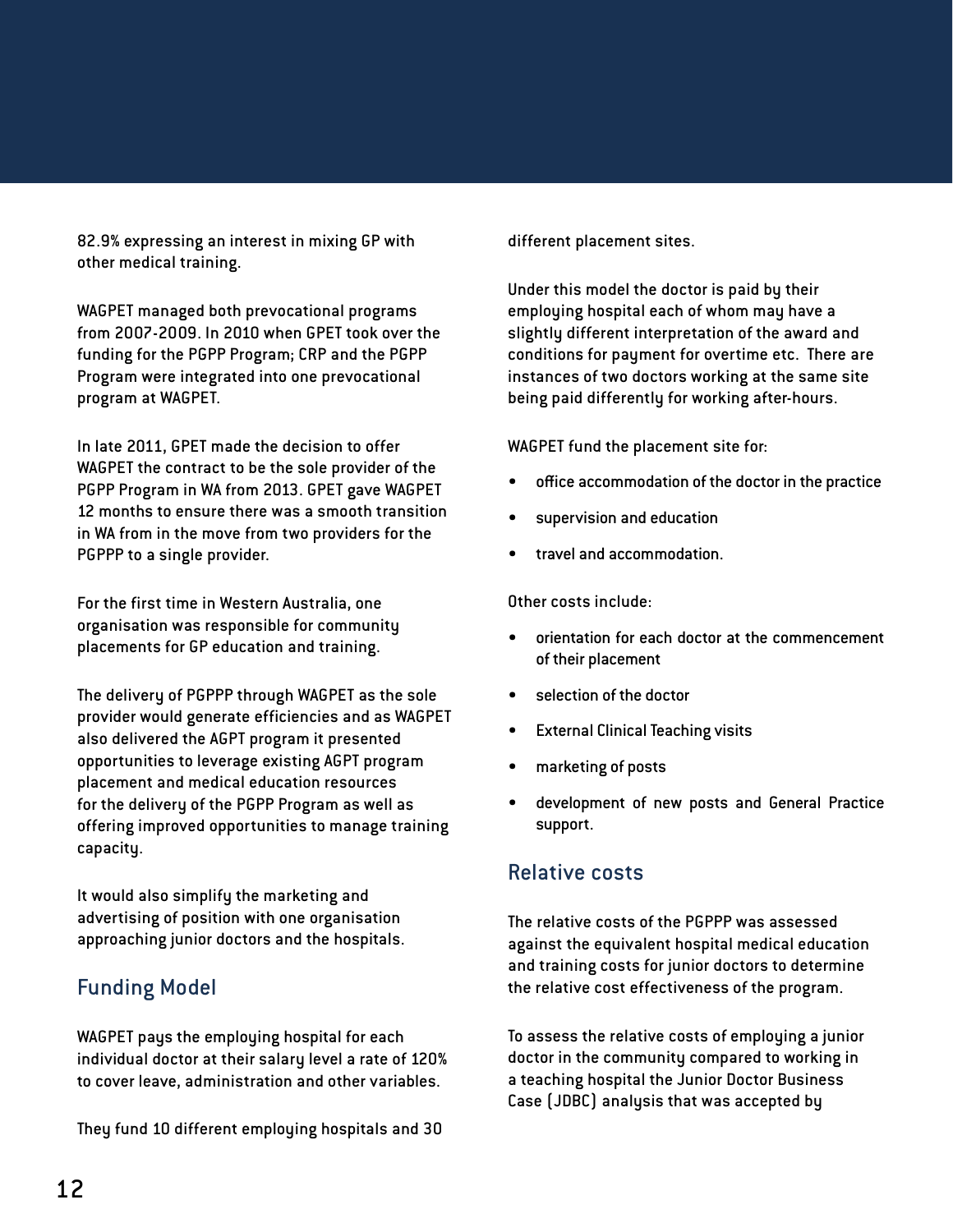82.9% expressing an interest in mixing GP with other medical training.

WAGPET managed both prevocational programs from 2007-2009. In 2010 when GPET took over the funding for the PGPP Program; CRP and the PGPP Program were integrated into one prevocational program at WAGPET.

In late 2011, GPET made the decision to offer WAGPET the contract to be the sole provider of the PGPP Program in WA from 2013. GPET gave WAGPET 12 months to ensure there was a smooth transition in WA from in the move from two providers for the PGPPP to a single provider.

For the first time in Western Australia, one organisation was responsible for community placements for GP education and training.

The delivery of PGPPP through WAGPET as the sole provider would generate efficiencies and as WAGPET also delivered the AGPT program it presented opportunities to leverage existing AGPT program placement and medical education resources for the delivery of the PGPP Program as well as offering improved opportunities to manage training capacity.

It would also simplify the marketing and advertising of position with one organisation approaching junior doctors and the hospitals.

## Funding Model

WAGPET pays the employing hospital for each individual doctor at their salary level a rate of 120% to cover leave, administration and other variables.

They fund 10 different employing hospitals and 30

different placement sites.

Under this model the doctor is paid by their employing hospital each of whom may have a slightly different interpretation of the award and conditions for payment for overtime etc. There are instances of two doctors working at the same site being paid differently for working after-hours.

WAGPET fund the placement site for:

- office accommodation of the doctor in the practice
- supervision and education
- travel and accommodation.

Other costs include:

- orientation for each doctor at the commencement of their placement
- selection of the doctor
- **External Clinical Teaching visits**
- marketing of posts
- development of new posts and General Practice support.

#### Relative costs

The relative costs of the PGPPP was assessed against the equivalent hospital medical education and training costs for junior doctors to determine the relative cost effectiveness of the program.

To assess the relative costs of employing a junior doctor in the community compared to working in a teaching hospital the Junior Doctor Business Case (JDBC) analysis that was accepted by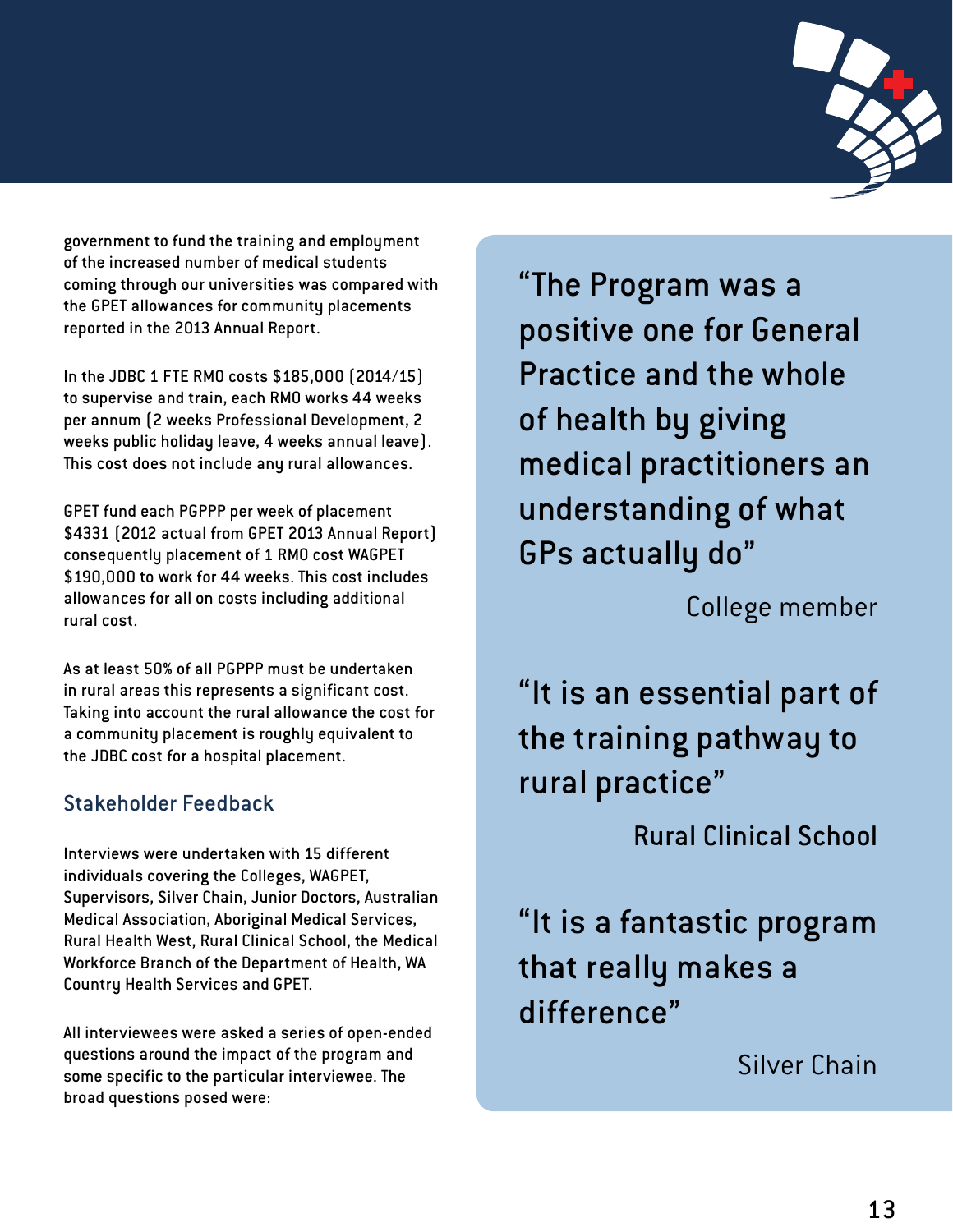

government to fund the training and employment of the increased number of medical students coming through our universities was compared with the GPET allowances for community placements reported in the 2013 Annual Report.

In the JDBC 1 FTE RMO costs \$185,000 (2014/15) to supervise and train, each RMO works 44 weeks per annum (2 weeks Professional Development, 2 weeks public holiday leave, 4 weeks annual leave). This cost does not include any rural allowances.

GPET fund each PGPPP per week of placement \$4331 (2012 actual from GPET 2013 Annual Report) consequently placement of 1 RMO cost WAGPET \$190,000 to work for 44 weeks. This cost includes allowances for all on costs including additional rural cost.

As at least 50% of all PGPPP must be undertaken in rural areas this represents a significant cost. Taking into account the rural allowance the cost for a community placement is roughly equivalent to the JDBC cost for a hospital placement.

## Stakeholder Feedback

Interviews were undertaken with 15 different individuals covering the Colleges, WAGPET, Supervisors, Silver Chain, Junior Doctors, Australian Medical Association, Aboriginal Medical Services, Rural Health West, Rural Clinical School, the Medical Workforce Branch of the Department of Health, WA Country Health Services and GPET.

All interviewees were asked a series of open-ended questions around the impact of the program and some specific to the particular interviewee. The broad questions posed were:

"The Program was a positive one for General Practice and the whole of health by giving medical practitioners an understanding of what GPs actually do"

College member

"It is an essential part of the training pathway to rural practice"

Rural Clinical School

"It is a fantastic program that really makes a difference"

Silver Chain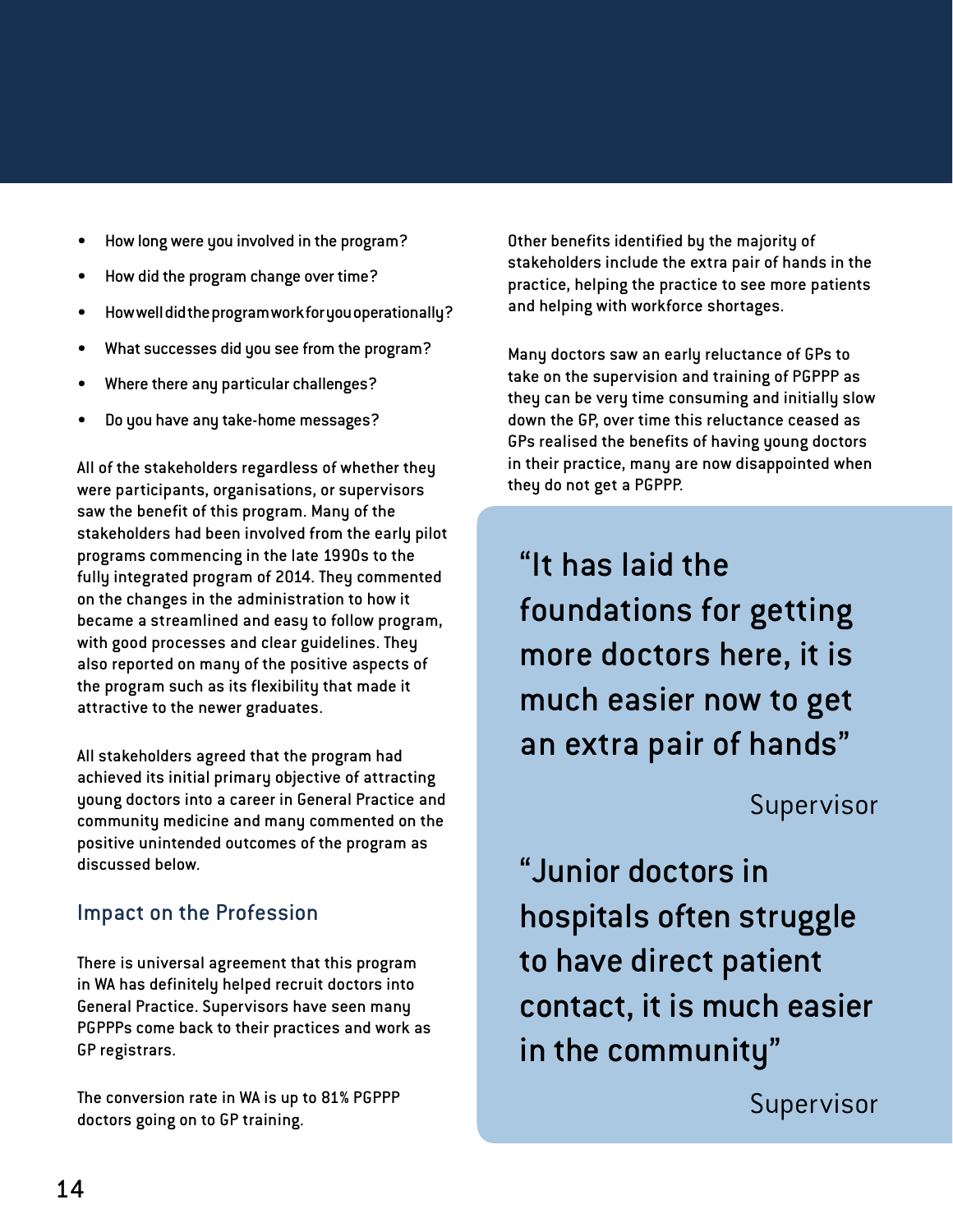- How long were you involved in the program?
- How did the program change over time?
- How well did the program work for you operationally?
- What successes did you see from the program?
- Where there any particular challenges?
- Do you have any take-home messages?

All of the stakeholders regardless of whether they were participants, organisations, or supervisors saw the benefit of this program. Many of the stakeholders had been involved from the early pilot programs commencing in the late 1990s to the fully integrated program of 2014. They commented on the changes in the administration to how it became a streamlined and easy to follow program, with good processes and clear guidelines. They also reported on many of the positive aspects of the program such as its flexibility that made it attractive to the newer graduates.

All stakeholders agreed that the program had achieved its initial primary objective of attracting young doctors into a career in General Practice and community medicine and many commented on the positive unintended outcomes of the program as discussed below.

## Impact on the Profession

There is universal agreement that this program in WA has definitely helped recruit doctors into General Practice. Supervisors have seen many PGPPPs come back to their practices and work as GP registrars.

The conversion rate in WA is up to 81% PGPPP doctors going on to GP training.

Other benefits identified by the majority of stakeholders include the extra pair of hands in the practice, helping the practice to see more patients and helping with workforce shortages.

Many doctors saw an early reluctance of GPs to take on the supervision and training of PGPPP as they can be very time consuming and initially slow down the GP, over time this reluctance ceased as GPs realised the benefits of having young doctors in their practice, many are now disappointed when they do not get a PGPPP.

"It has laid the foundations for getting more doctors here, it is much easier now to get an extra pair of hands"

Supervisor

"Junior doctors in hospitals often struggle to have direct patient contact, it is much easier in the community"

Supervisor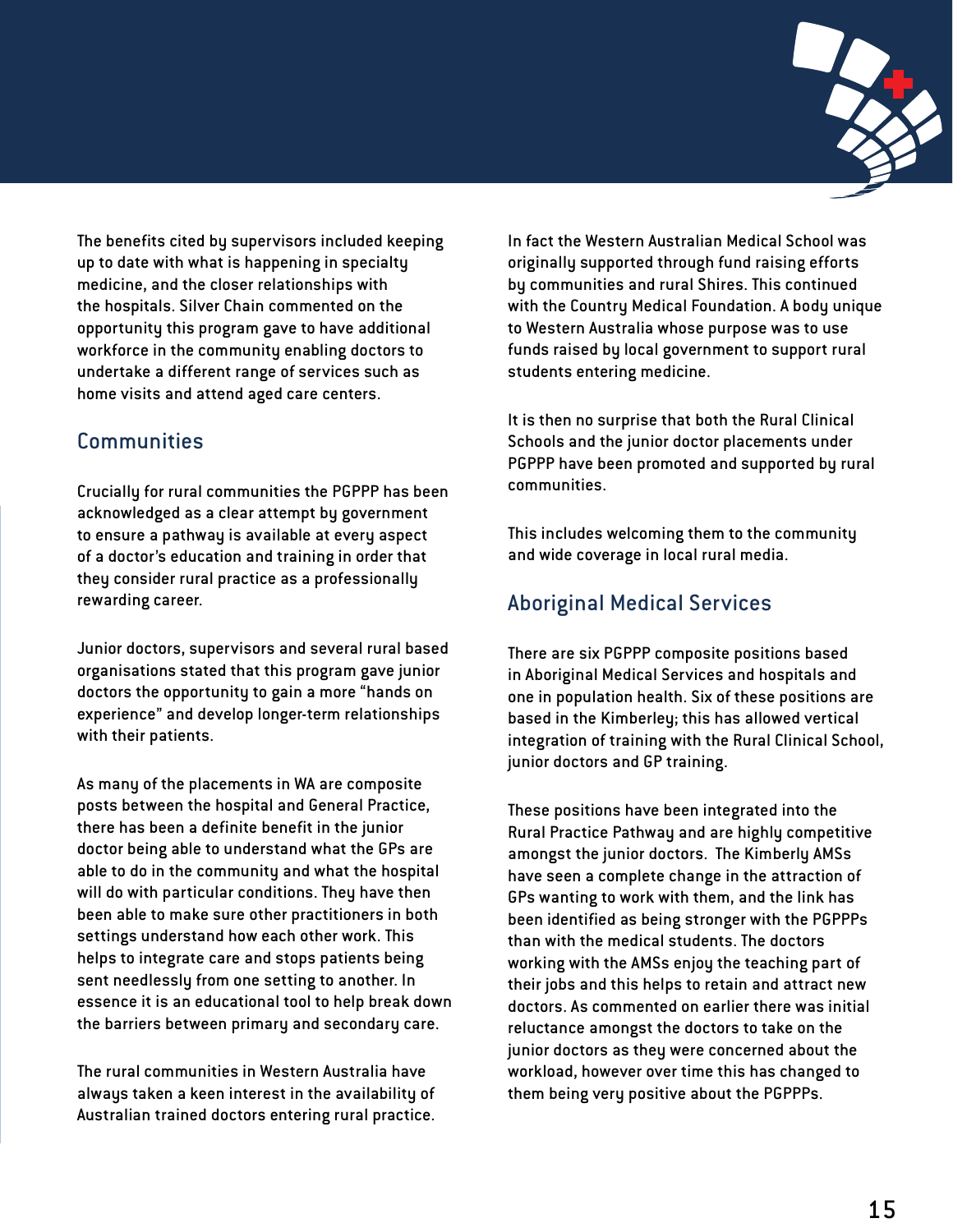

The benefits cited by supervisors included keeping up to date with what is happening in specialty medicine, and the closer relationships with the hospitals. Silver Chain commented on the opportunity this program gave to have additional workforce in the community enabling doctors to undertake a different range of services such as home visits and attend aged care centers.

## **Communities**

Crucially for rural communities the PGPPP has been acknowledged as a clear attempt by government to ensure a pathway is available at every aspect of a doctor's education and training in order that they consider rural practice as a professionally rewarding career.

Junior doctors, supervisors and several rural based organisations stated that this program gave junior doctors the opportunity to gain a more "hands on experience" and develop longer-term relationships with their patients.

As many of the placements in WA are composite posts between the hospital and General Practice, there has been a definite benefit in the junior doctor being able to understand what the GPs are able to do in the community and what the hospital will do with particular conditions. They have then been able to make sure other practitioners in both settings understand how each other work. This helps to integrate care and stops patients being sent needlessly from one setting to another. In essence it is an educational tool to help break down the barriers between primary and secondary care.

The rural communities in Western Australia have always taken a keen interest in the availability of Australian trained doctors entering rural practice.

In fact the Western Australian Medical School was originally supported through fund raising efforts by communities and rural Shires. This continued with the Country Medical Foundation. A body unique to Western Australia whose purpose was to use funds raised by local government to support rural students entering medicine.

It is then no surprise that both the Rural Clinical Schools and the junior doctor placements under PGPPP have been promoted and supported by rural communities.

This includes welcoming them to the community and wide coverage in local rural media.

## Aboriginal Medical Services

There are six PGPPP composite positions based in Aboriginal Medical Services and hospitals and one in population health. Six of these positions are based in the Kimberley; this has allowed vertical integration of training with the Rural Clinical School, junior doctors and GP training.

These positions have been integrated into the Rural Practice Pathway and are highly competitive amongst the junior doctors. The Kimberly AMSs have seen a complete change in the attraction of GPs wanting to work with them, and the link has been identified as being stronger with the PGPPPs than with the medical students. The doctors working with the AMSs enjoy the teaching part of their jobs and this helps to retain and attract new doctors. As commented on earlier there was initial reluctance amongst the doctors to take on the junior doctors as they were concerned about the workload, however over time this has changed to them being very positive about the PGPPPs.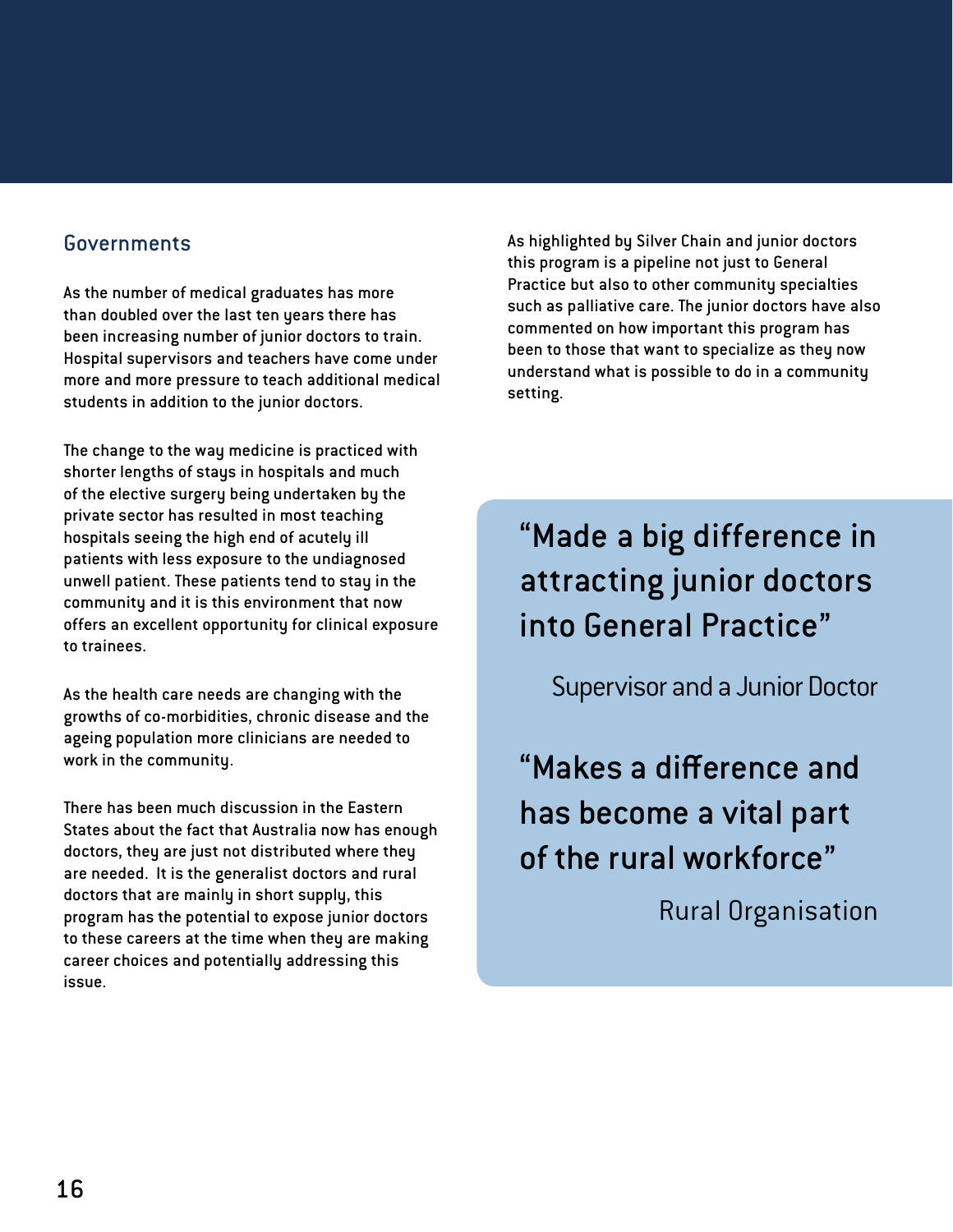#### Governments

As the number of medical graduates has more than doubled over the last ten years there has been increasing number of junior doctors to train. Hospital supervisors and teachers have come under more and more pressure to teach additional medical students in addition to the junior doctors.

The change to the way medicine is practiced with shorter lengths of stays in hospitals and much of the elective surgery being undertaken by the private sector has resulted in most teaching hospitals seeing the high end of acutely ill patients with less exposure to the undiagnosed unwell patient. These patients tend to stay in the community and it is this environment that now offers an excellent opportunity for clinical exposure to trainees.

As the health care needs are changing with the growths of co-morbidities, chronic disease and the ageing population more clinicians are needed to work in the community.

There has been much discussion in the Eastern States about the fact that Australia now has enough doctors, they are just not distributed where they are needed. It is the generalist doctors and rural doctors that are mainly in short supply, this program has the potential to expose junior doctors to these careers at the time when they are making career choices and potentially addressing this issue.

As highlighted by Silver Chain and junior doctors this program is a pipeline not just to General Practice but also to other community specialties such as palliative care. The junior doctors have also commented on how important this program has been to those that want to specialize as they now understand what is possible to do in a community setting.

"Made a big difference in attracting junior doctors into General Practice"

Supervisor and a Junior Doctor

"Makes a difference and has become a vital part of the rural workforce"

Rural Organisation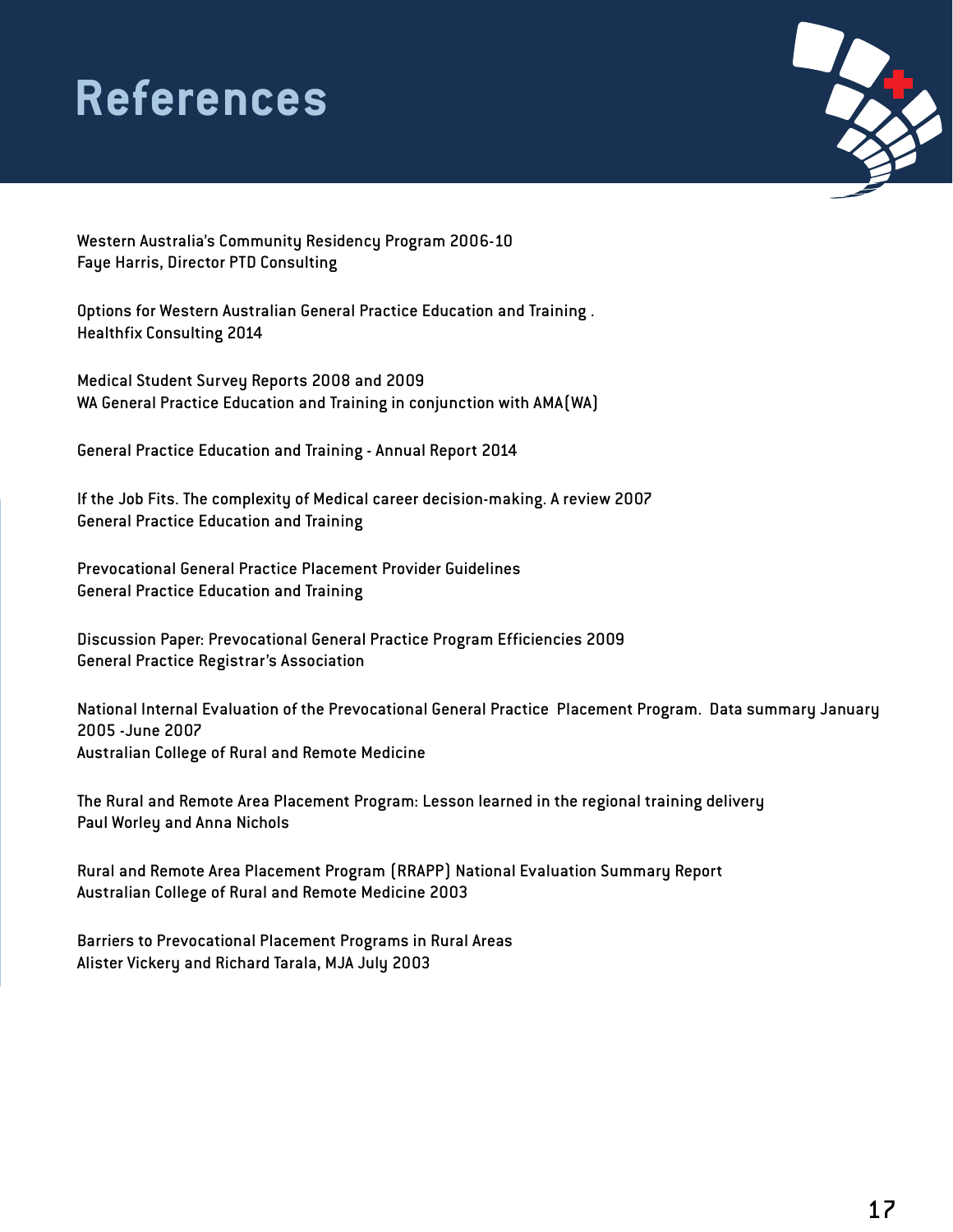## **References**



Western Australia's Community Residency Program 2006-10 Faye Harris, Director PTD Consulting

Options for Western Australian General Practice Education and Training . Healthfix Consulting 2014

Medical Student Survey Reports 2008 and 2009 WA General Practice Education and Training in conjunction with AMA(WA)

General Practice Education and Training - Annual Report 2014

If the Job Fits. The complexity of Medical career decision-making. A review 2007 General Practice Education and Training

Prevocational General Practice Placement Provider Guidelines General Practice Education and Training

Discussion Paper: Prevocational General Practice Program Efficiencies 2009 General Practice Registrar's Association

National Internal Evaluation of the Prevocational General Practice Placement Program. Data summary January 2005 -June 2007 Australian College of Rural and Remote Medicine

The Rural and Remote Area Placement Program: Lesson learned in the regional training delivery Paul Worley and Anna Nichols

Rural and Remote Area Placement Program (RRAPP) National Evaluation Summary Report Australian College of Rural and Remote Medicine 2003

Barriers to Prevocational Placement Programs in Rural Areas Alister Vickery and Richard Tarala, MJA July 2003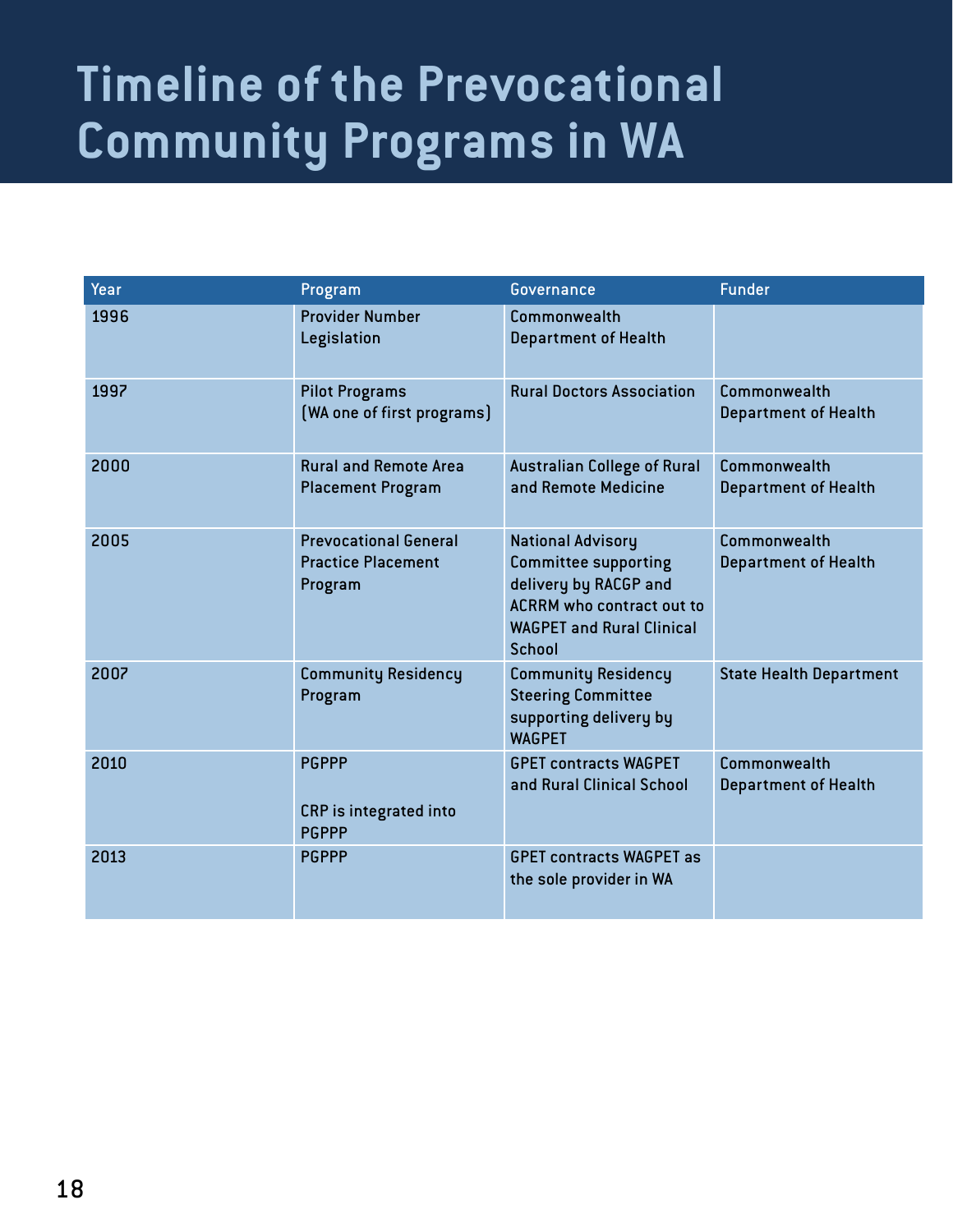# **Timeline of the Prevocational Community Programs in WA**

| Year | Program                                                              | <b>Governance</b>                                                                                                                                                         | <b>Funder</b>                               |
|------|----------------------------------------------------------------------|---------------------------------------------------------------------------------------------------------------------------------------------------------------------------|---------------------------------------------|
| 1996 | <b>Provider Number</b><br>Legislation                                | Commonwealth<br><b>Department of Health</b>                                                                                                                               |                                             |
| 1997 | <b>Pilot Programs</b><br>[WA one of first programs]                  | <b>Rural Doctors Association</b>                                                                                                                                          | Commonwealth<br><b>Department of Health</b> |
| 2000 | <b>Rural and Remote Area</b><br><b>Placement Program</b>             | <b>Australian College of Rural</b><br>and Remote Medicine                                                                                                                 | Commonwealth<br><b>Department of Health</b> |
| 2005 | <b>Prevocational General</b><br><b>Practice Placement</b><br>Program | <b>National Advisory</b><br><b>Committee supporting</b><br>delivery by RACGP and<br><b>ACRRM</b> who contract out to<br><b>WAGPET and Rural Clinical</b><br><b>School</b> | Commonwealth<br><b>Department of Health</b> |
| 2007 | <b>Community Residency</b><br>Program                                | <b>Community Residency</b><br><b>Steering Committee</b><br>supporting delivery by<br><b>WAGPET</b>                                                                        | <b>State Health Department</b>              |
| 2010 | <b>PGPPP</b><br><b>CRP</b> is integrated into<br><b>PGPPP</b>        | <b>GPET contracts WAGPET</b><br>and Rural Clinical School                                                                                                                 | Commonwealth<br><b>Department of Health</b> |
| 2013 | <b>PGPPP</b>                                                         | <b>GPET contracts WAGPET as</b><br>the sole provider in WA                                                                                                                |                                             |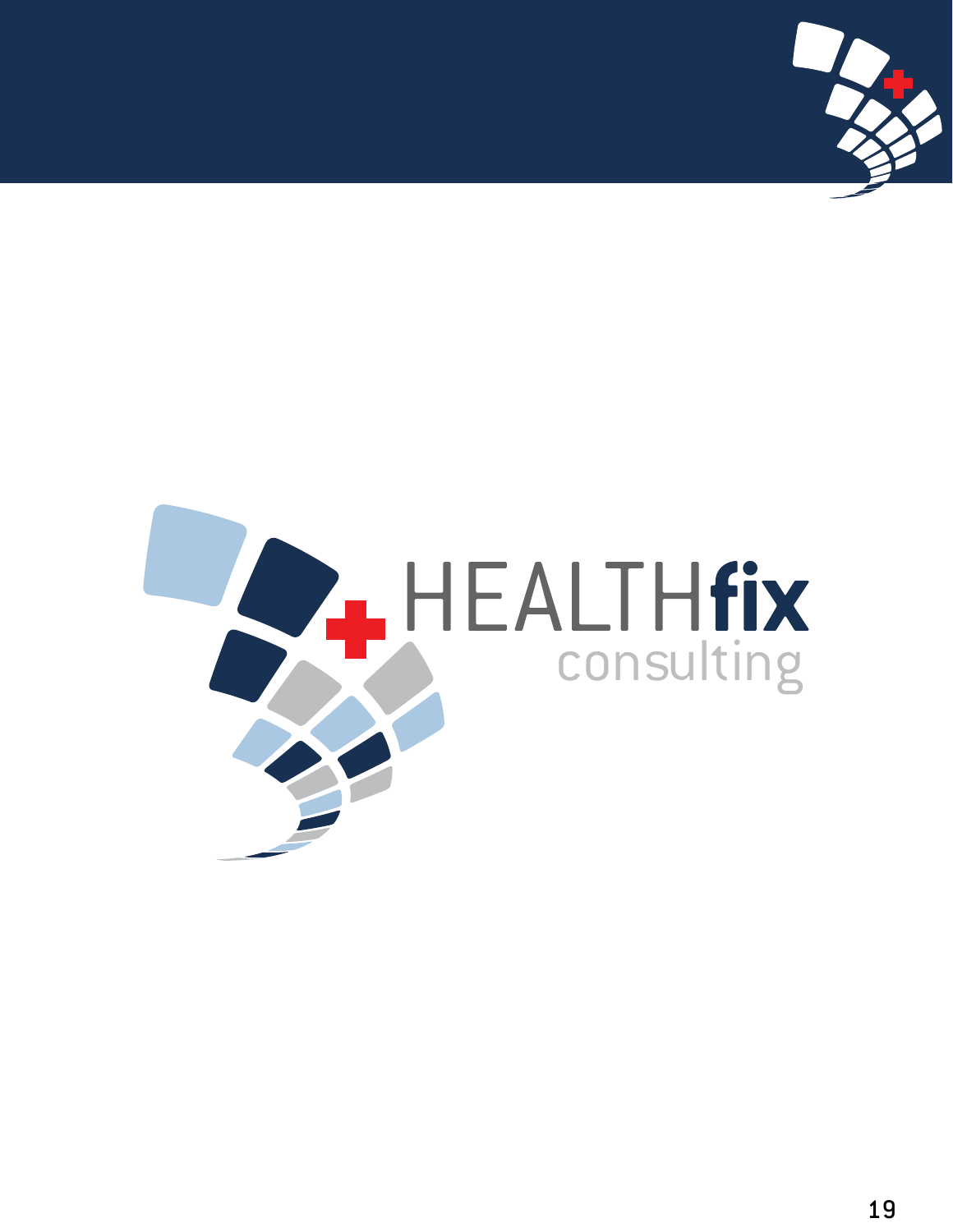